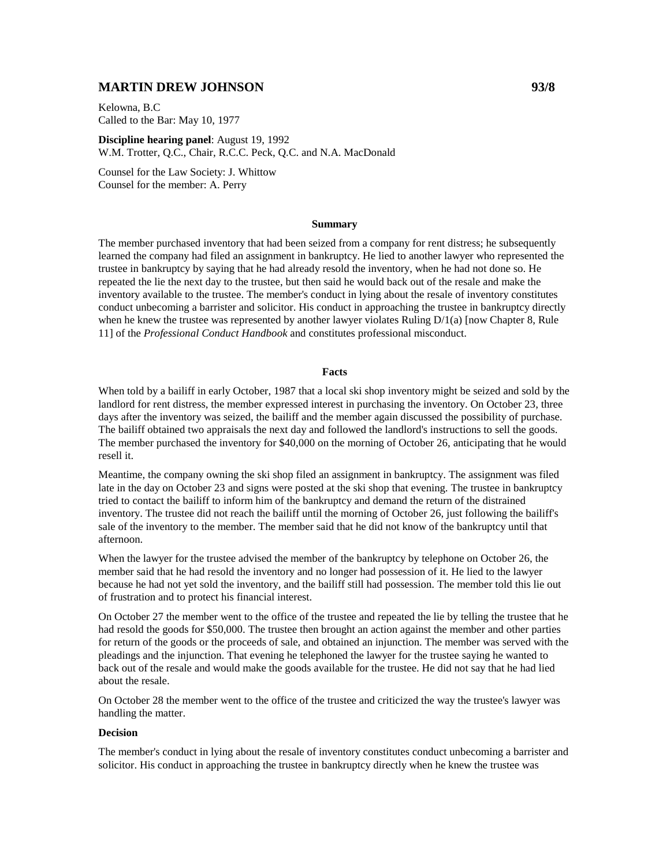# **MARTIN DREW JOHNSON 93/8**

Kelowna, B.C Called to the Bar: May 10, 1977

**Discipline hearing panel**: August 19, 1992 W.M. Trotter, Q.C., Chair, R.C.C. Peck, Q.C. and N.A. MacDonald

Counsel for the Law Society: J. Whittow Counsel for the member: A. Perry

## **Summary**

The member purchased inventory that had been seized from a company for rent distress; he subsequently learned the company had filed an assignment in bankruptcy. He lied to another lawyer who represented the trustee in bankruptcy by saying that he had already resold the inventory, when he had not done so. He repeated the lie the next day to the trustee, but then said he would back out of the resale and make the inventory available to the trustee. The member's conduct in lying about the resale of inventory constitutes conduct unbecoming a barrister and solicitor. His conduct in approaching the trustee in bankruptcy directly when he knew the trustee was represented by another lawyer violates Ruling  $D/1(a)$  [now Chapter 8, Rule 11] of the *Professional Conduct Handbook* and constitutes professional misconduct.

#### **Facts**

When told by a bailiff in early October, 1987 that a local ski shop inventory might be seized and sold by the landlord for rent distress, the member expressed interest in purchasing the inventory. On October 23, three days after the inventory was seized, the bailiff and the member again discussed the possibility of purchase. The bailiff obtained two appraisals the next day and followed the landlord's instructions to sell the goods. The member purchased the inventory for \$40,000 on the morning of October 26, anticipating that he would resell it.

Meantime, the company owning the ski shop filed an assignment in bankruptcy. The assignment was filed late in the day on October 23 and signs were posted at the ski shop that evening. The trustee in bankruptcy tried to contact the bailiff to inform him of the bankruptcy and demand the return of the distrained inventory. The trustee did not reach the bailiff until the morning of October 26, just following the bailiff's sale of the inventory to the member. The member said that he did not know of the bankruptcy until that afternoon.

When the lawyer for the trustee advised the member of the bankruptcy by telephone on October 26, the member said that he had resold the inventory and no longer had possession of it. He lied to the lawyer because he had not yet sold the inventory, and the bailiff still had possession. The member told this lie out of frustration and to protect his financial interest.

On October 27 the member went to the office of the trustee and repeated the lie by telling the trustee that he had resold the goods for \$50,000. The trustee then brought an action against the member and other parties for return of the goods or the proceeds of sale, and obtained an injunction. The member was served with the pleadings and the injunction. That evening he telephoned the lawyer for the trustee saying he wanted to back out of the resale and would make the goods available for the trustee. He did not say that he had lied about the resale.

On October 28 the member went to the office of the trustee and criticized the way the trustee's lawyer was handling the matter.

## **Decision**

The member's conduct in lying about the resale of inventory constitutes conduct unbecoming a barrister and solicitor. His conduct in approaching the trustee in bankruptcy directly when he knew the trustee was